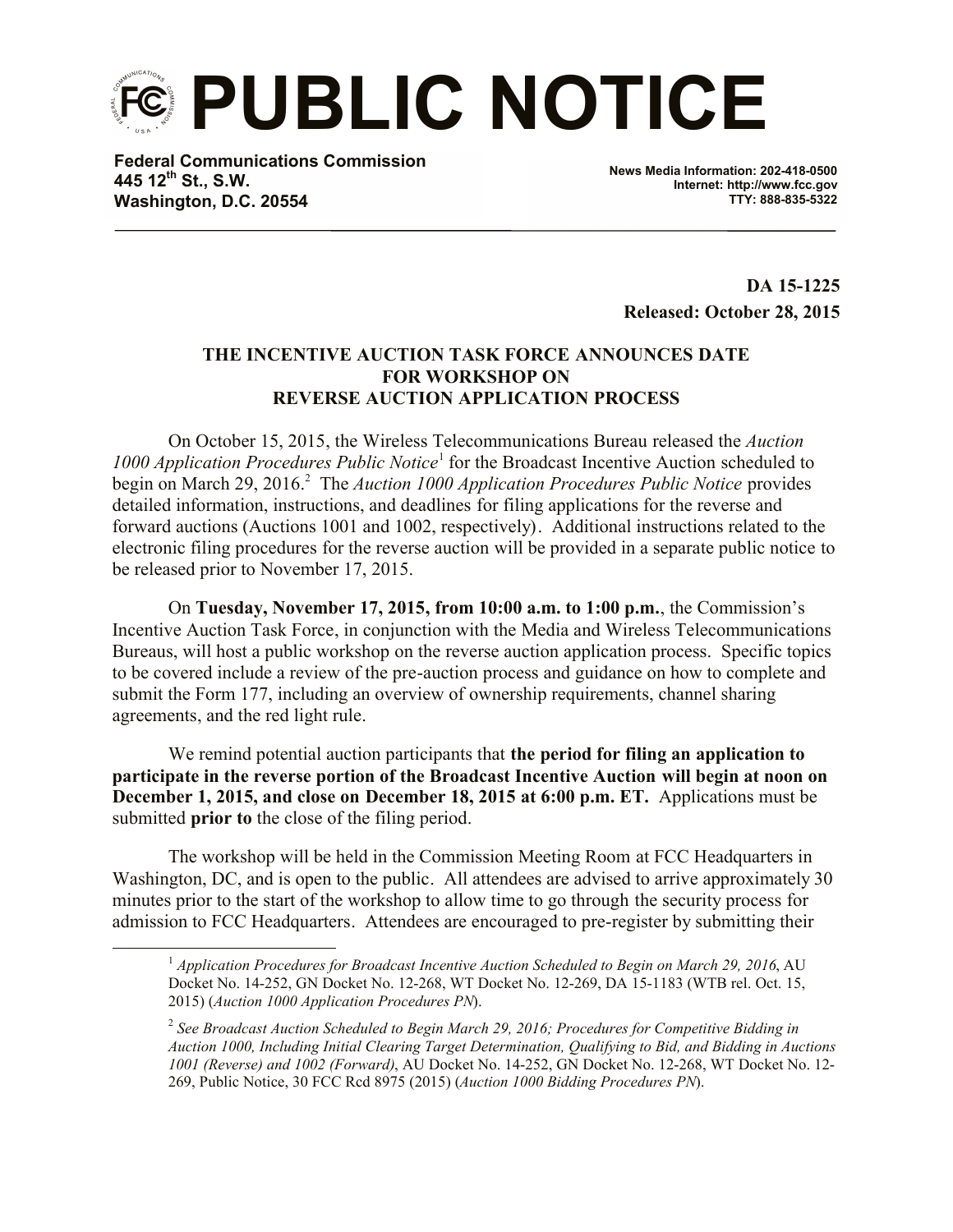**PUBLIC NOTICE**

**Federal Communications Commission 445 12th St., S.W. Washington, D.C. 20554**

 $\overline{a}$ 

**News Media Information: 202-418-0500 Internet: http://www.fcc.gov TTY: 888-835-5322**

**DA 15-1225 Released: October 28, 2015**

## **THE INCENTIVE AUCTION TASK FORCE ANNOUNCES DATE FOR WORKSHOP ON REVERSE AUCTION APPLICATION PROCESS**

On October 15, 2015, the Wireless Telecommunications Bureau released the *Auction*  1000 Application Procedures Public Notice<sup>1</sup> for the Broadcast Incentive Auction scheduled to begin on March 29, 2016.<sup>2</sup> The *Auction 1000 Application Procedures Public Notice* provides detailed information, instructions, and deadlines for filing applications for the reverse and forward auctions (Auctions 1001 and 1002, respectively). Additional instructions related to the electronic filing procedures for the reverse auction will be provided in a separate public notice to be released prior to November 17, 2015.

On **Tuesday, November 17, 2015, from 10:00 a.m. to 1:00 p.m.**, the Commission's Incentive Auction Task Force, in conjunction with the Media and Wireless Telecommunications Bureaus, will host a public workshop on the reverse auction application process. Specific topics to be covered include a review of the pre-auction process and guidance on how to complete and submit the Form 177, including an overview of ownership requirements, channel sharing agreements, and the red light rule.

We remind potential auction participants that **the period for filing an application to participate in the reverse portion of the Broadcast Incentive Auction will begin at noon on December 1, 2015, and close on December 18, 2015 at 6:00 p.m. ET.** Applications must be submitted **prior to** the close of the filing period.

The workshop will be held in the Commission Meeting Room at FCC Headquarters in Washington, DC, and is open to the public. All attendees are advised to arrive approximately 30 minutes prior to the start of the workshop to allow time to go through the security process for admission to FCC Headquarters. Attendees are encouraged to pre-register by submitting their

<sup>1</sup> *Application Procedures for Broadcast Incentive Auction Scheduled to Begin on March 29, 2016*, AU Docket No. 14-252, GN Docket No. 12-268, WT Docket No. 12-269, DA 15-1183 (WTB rel. Oct. 15, 2015) (*Auction 1000 Application Procedures PN*).

<sup>2</sup> *See Broadcast Auction Scheduled to Begin March 29, 2016; Procedures for Competitive Bidding in Auction 1000, Including Initial Clearing Target Determination, Qualifying to Bid, and Bidding in Auctions 1001 (Reverse) and 1002 (Forward)*, AU Docket No. 14-252, GN Docket No. 12-268, WT Docket No. 12- 269, Public Notice, 30 FCC Rcd 8975 (2015) (*Auction 1000 Bidding Procedures PN*).